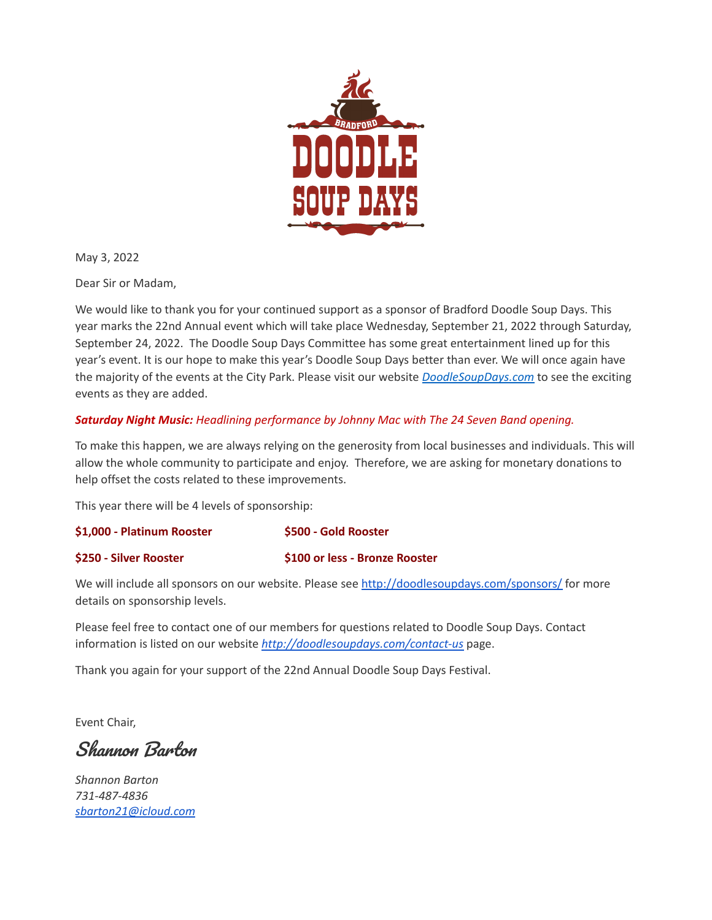

May 3, 2022

Dear Sir or Madam,

We would like to thank you for your continued support as a sponsor of Bradford Doodle Soup Days. This year marks the 22nd Annual event which will take place Wednesday, September 21, 2022 through Saturday, September 24, 2022. The Doodle Soup Days Committee has some great entertainment lined up for this year's event. It is our hope to make this year's Doodle Soup Days better than ever. We will once again have the majority of the events at the City Park. Please visit our website *[DoodleSoupDays.com](http://doodlesoupdays.com/)* to see the exciting events as they are added.

## *Saturday Night Music: Headlining performance by Johnny Mac with The 24 Seven Band opening.*

To make this happen, we are always relying on the generosity from local businesses and individuals. This will allow the whole community to participate and enjoy. Therefore, we are asking for monetary donations to help offset the costs related to these improvements.

This year there will be 4 levels of sponsorship:

| \$1,000 - Platinum Rooster   | \$500 - Gold Rooster                 |
|------------------------------|--------------------------------------|
| <b>S250 - Silver Rooster</b> | <b>S100 or less - Bronze Rooster</b> |

We will include all sponsors on our website. Please see <http://doodlesoupdays.com/sponsors/> for more details on sponsorship levels.

Please feel free to contact one of our members for questions related to Doodle Soup Days. Contact information is listed on our website *<http://doodlesoupdays.com/contact-us>* page.

Thank you again for your support of the 22nd Annual Doodle Soup Days Festival.

Event Chair,

Shannon Barton

*Shannon Barton 731-487-4836 [sbarton21@icloud.com](mailto:sbarton21@icloud.com)*